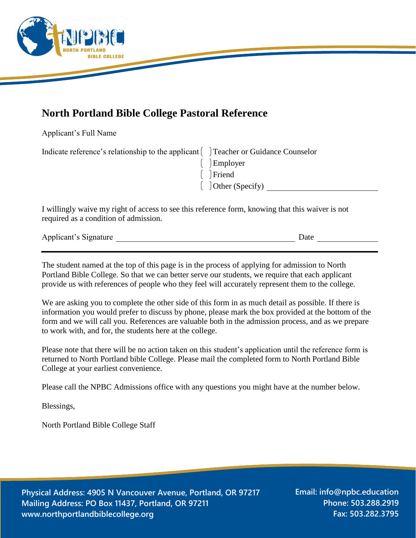

## **North Portland Bible College Pastoral Reference**

Applicant's Full Name

| Indicate reference's relationship to the applicant [14] Teacher or Guidance Counselor |                        |
|---------------------------------------------------------------------------------------|------------------------|
|                                                                                       | $\Box$ Employer        |
|                                                                                       | $\int$ Friend          |
|                                                                                       | $\int$ Other (Specify) |

I willingly waive my right of access to see this reference form, knowing that this waiver is not required as a condition of admission.

| Applicant's Signature<br>$\cdot$ -process $\cdot$ - - - |  |  |
|---------------------------------------------------------|--|--|
|                                                         |  |  |

The student named at the top of this page is in the process of applying for admission to North Portland Bible College. So that we can better serve our students, we require that each applicant provide us with references of people who they feel will accurately represent them to the college.

We are asking you to complete the other side of this form in as much detail as possible. If there is information you would prefer to discuss by phone, please mark the box provided at the bottom of the form and we will call you. References are valuable both in the admission process, and as we prepare to work with, and for, the students here at the college.

Please note that there will be no action taken on this student's application until the reference form is returned to North Portland bible College. Please mail the completed form to North Portland Bible College at your earliest convenience.

Please call the NPBC Admissions office with any questions you might have at the number below.

Blessings,

North Portland Bible College Staff

**Physical Address: 4905 N Vancouver Avenue, Portland, OR 97217 Mailing Address: PO Box 11437, Portland, OR 97211 www.northportlandbiblecollege.org**

**Email: info@npbc.education Phone: 503.288.2919 Fax: 503.282.3795**